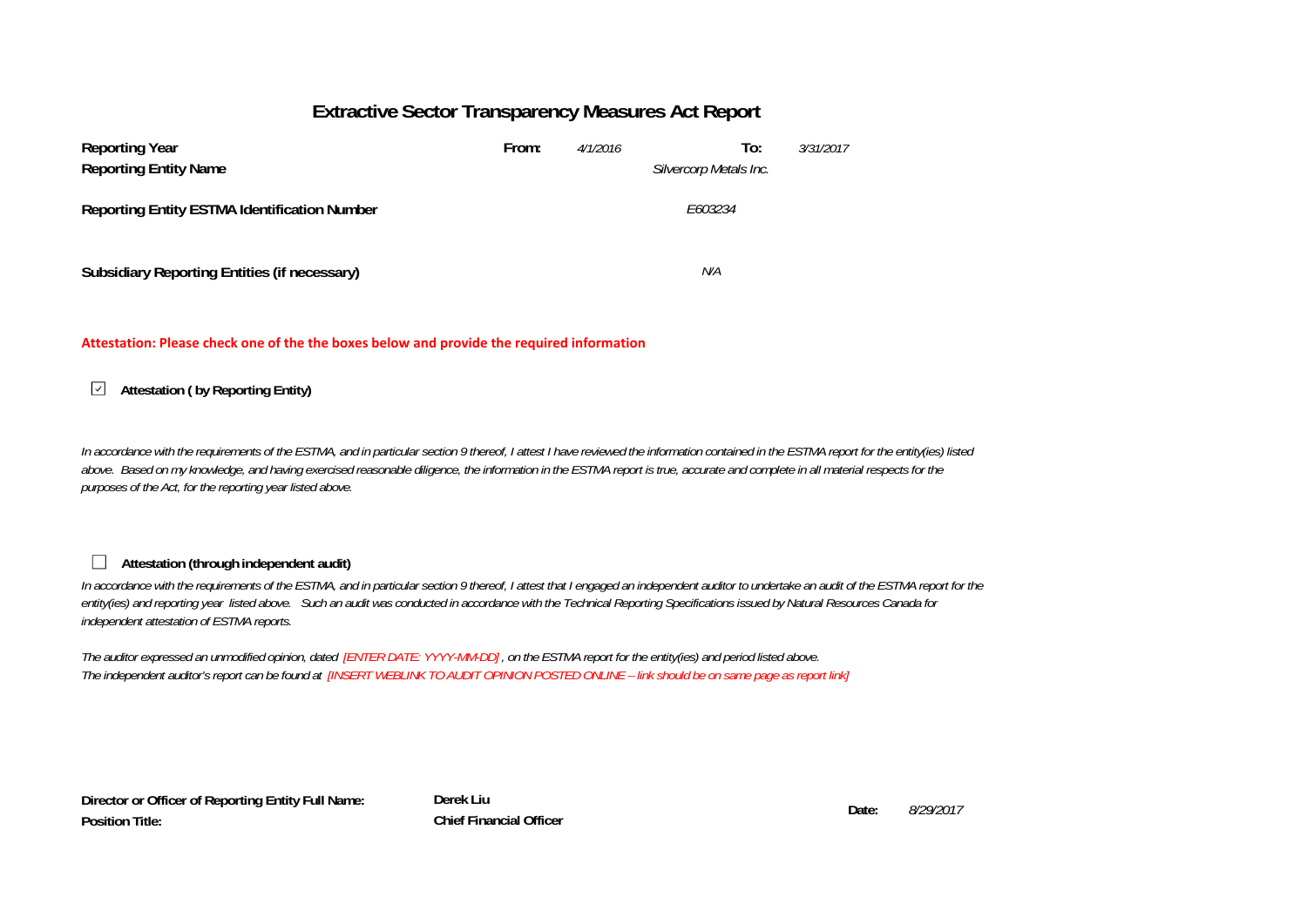### **Extractive Sector Transparency Measures Act Report**

| <b>Reporting Year</b><br><b>Reporting Entity Name</b> | From: | 4/1/2016 | To:<br>3/31/2017<br>Silvercorp Metals Inc. |
|-------------------------------------------------------|-------|----------|--------------------------------------------|
| <b>Reporting Entity ESTMA Identification Number</b>   |       |          | E603234                                    |
| Subsidiary Reporting Entities (if necessary)          |       |          | N/A                                        |

#### **Attestation: Please check one of the the boxes below and provide the required information**

#### **Attestation ( by Reporting Entity)**  $\sqrt{ }$

*In accordance with the requirements of the ESTMA, and in particular section 9 thereof, I attest I have reviewed the information contained in the ESTMA report for the entity(ies) listed above. Based on my knowledge, and having exercised reasonable diligence, the information in the ESTMA report is true, accurate and complete in all material respects for the purposes of the Act, for the reporting year listed above.* 

### **Attestation (through independent audit)**

 $\overline{\phantom{a}}$ 

In accordance with the requirements of the ESTMA, and in particular section 9 thereof. I attest that I engaged an independent auditor to undertake an audit of the ESTMA report for the *entity(ies) and reporting year listed above. Such an audit was conducted in accordance with the Technical Reporting Specifications issued by Natural Resources Canada for independent attestation of ESTMA reports.* 

*The auditor expressed an unmodified opinion, dated [ENTER DATE: YYYY-MM-DD] , on the ESTMA report for the entity(ies) and period listed above. The independent auditor's report can be found at [INSERT WEBLINK TO AUDIT OPINION POSTED ONLINE – link should be on same page as report link]* 

**Director or Officer of Reporting Entity Full Name: Position Title:**

**Derek Liu Date:Chief Financial Officer**

*8/29/2017*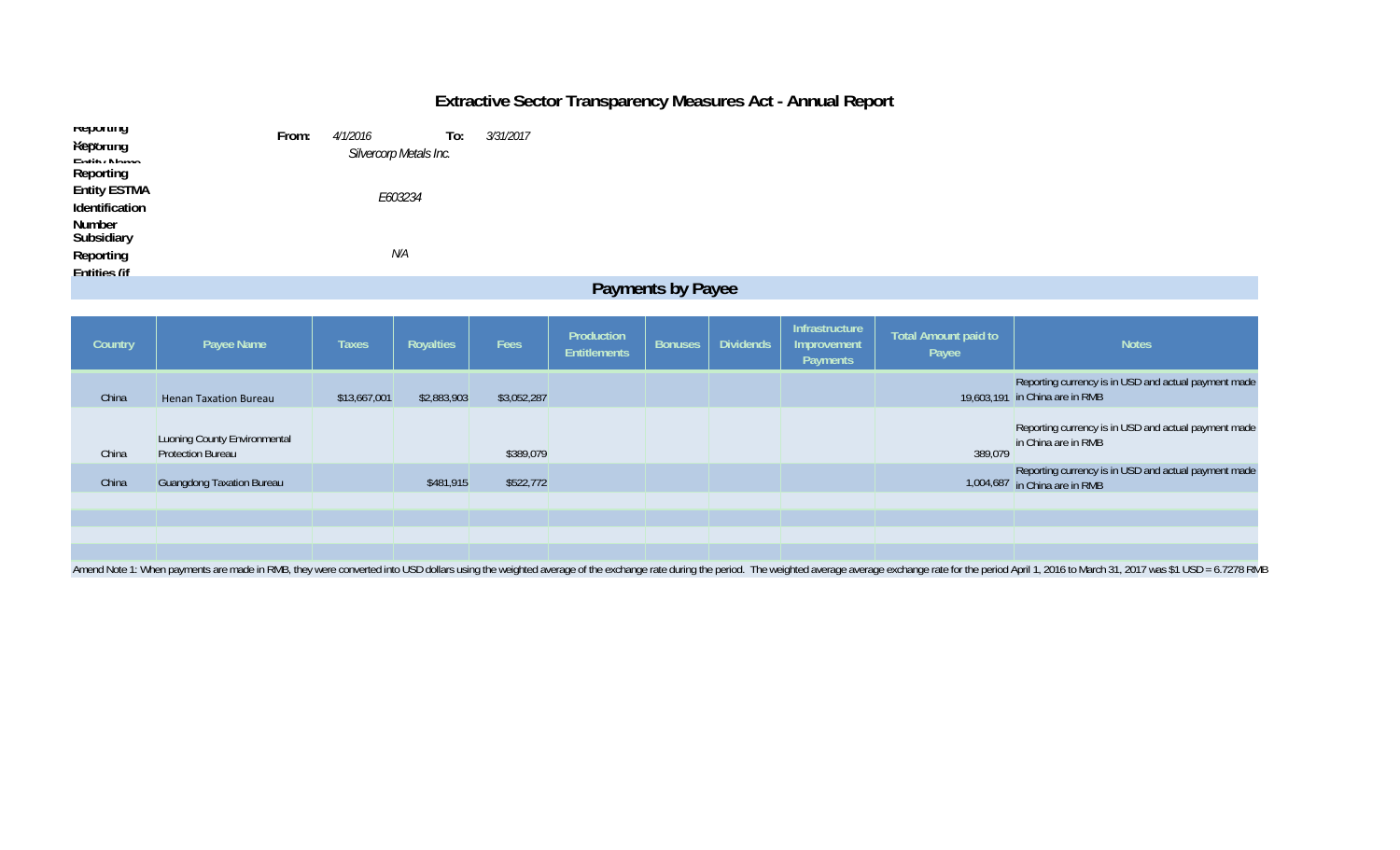# **Extractive Sector Transparency Measures Act - Annual Report**

| <b>Reporting</b><br>Keporung          | From: | <i>4/1/2016</i>        | To: | 3/31/2017 |  |  |  |  |
|---------------------------------------|-------|------------------------|-----|-----------|--|--|--|--|
| Entity Nomo<br>Reporting              |       | Silvercorp Metals Inc. |     |           |  |  |  |  |
| <b>Entity ESTMA</b><br>Identification |       | E603234                |     |           |  |  |  |  |
| Number<br>Subsidiary                  |       |                        |     |           |  |  |  |  |
| Reporting<br><b>Fntities (if</b>      |       | N/A                    |     |           |  |  |  |  |
| <b>Payments by Payee</b>              |       |                        |     |           |  |  |  |  |

| Country                                                                                                                                                                                                                       | Payee Name                                               | <b>Taxes</b> | Royalties   | Fees        | Production<br><b>Entitlements</b> | <b>Bonuses</b> | <b>Dividends</b> | Infrastructure<br>Improvement<br>Payments | Total Amount paid to<br>Payee | <b>Notes</b>                                                                           |
|-------------------------------------------------------------------------------------------------------------------------------------------------------------------------------------------------------------------------------|----------------------------------------------------------|--------------|-------------|-------------|-----------------------------------|----------------|------------------|-------------------------------------------|-------------------------------|----------------------------------------------------------------------------------------|
| China                                                                                                                                                                                                                         | <b>Henan Taxation Bureau</b>                             | \$13,667,001 | \$2,883,903 | \$3,052,287 |                                   |                |                  |                                           |                               | Reporting currency is in USD and actual payment made<br>19,603,191 in China are in RMB |
| China                                                                                                                                                                                                                         | Luoning County Environmental<br><b>Protection Bureau</b> |              |             | \$389,079   |                                   |                |                  |                                           | 389,079                       | Reporting currency is in USD and actual payment made<br>in China are in RMB            |
| China                                                                                                                                                                                                                         | <b>Guangdong Taxation Bureau</b>                         |              | \$481,915   | \$522,772   |                                   |                |                  |                                           |                               | Reporting currency is in USD and actual payment made<br>1,004,687 in China are in RMB  |
|                                                                                                                                                                                                                               |                                                          |              |             |             |                                   |                |                  |                                           |                               |                                                                                        |
|                                                                                                                                                                                                                               |                                                          |              |             |             |                                   |                |                  |                                           |                               |                                                                                        |
| Amend Note 1: When payments are made in RMB, they were converted into USD dollars using the weighted average of the exchange rate during the period. The weighted average exchange rate for the period April 1, 2016 to March |                                                          |              |             |             |                                   |                |                  |                                           |                               |                                                                                        |